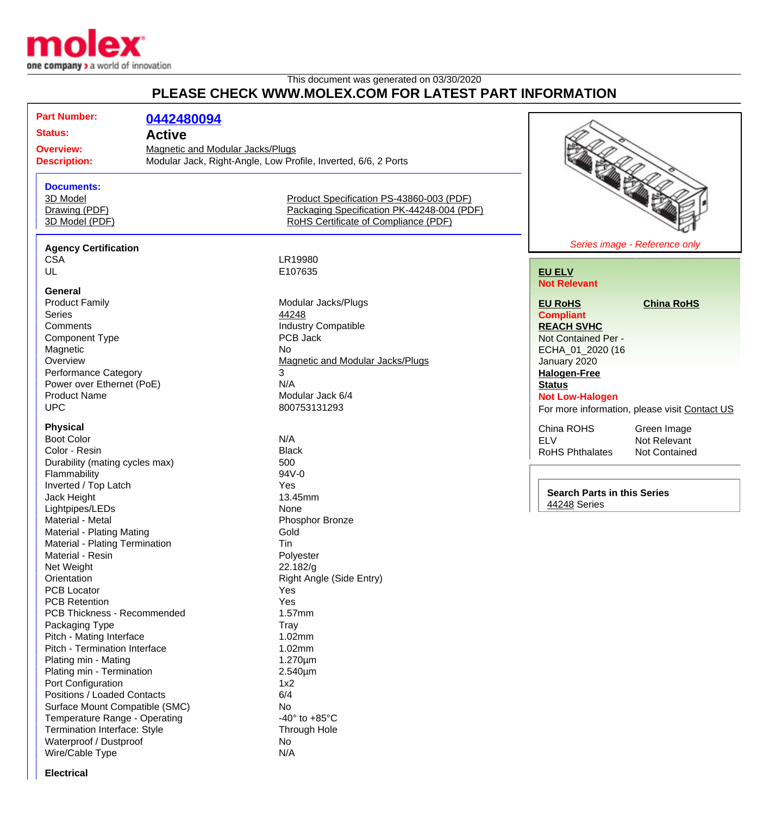

## This document was generated on 03/30/2020 **PLEASE CHECK WWW.MOLEX.COM FOR LATEST PART INFORMATION**

|             | <b>Part Number:</b>                       |                                  |                                                                |                                                         |
|-------------|-------------------------------------------|----------------------------------|----------------------------------------------------------------|---------------------------------------------------------|
|             |                                           | 0442480094                       |                                                                |                                                         |
|             | <b>Status:</b>                            | <b>Active</b>                    |                                                                |                                                         |
|             | <b>Overview:</b>                          | Magnetic and Modular Jacks/Plugs |                                                                |                                                         |
|             | <b>Description:</b>                       |                                  | Modular Jack, Right-Angle, Low Profile, Inverted, 6/6, 2 Ports |                                                         |
|             |                                           |                                  |                                                                |                                                         |
|             | <b>Documents:</b>                         |                                  |                                                                |                                                         |
|             | 3D Model                                  |                                  | Product Specification PS-43860-003 (PDF)                       |                                                         |
|             | Drawing (PDF)                             |                                  | Packaging Specification PK-44248-004 (PDF)                     |                                                         |
|             | 3D Model (PDF)                            |                                  | RoHS Certificate of Compliance (PDF)                           |                                                         |
|             |                                           |                                  |                                                                | Series image - Reference only                           |
|             | <b>Agency Certification</b><br><b>CSA</b> |                                  | LR19980                                                        |                                                         |
|             | UL                                        |                                  | E107635                                                        | <b>EU ELV</b>                                           |
|             |                                           |                                  |                                                                | <b>Not Relevant</b>                                     |
|             | <b>General</b>                            |                                  |                                                                |                                                         |
|             | <b>Product Family</b>                     |                                  | Modular Jacks/Plugs                                            | <b>EU RoHS</b><br><b>China RoHS</b>                     |
|             | <b>Series</b>                             |                                  | 44248                                                          | <b>Compliant</b>                                        |
|             | Comments                                  |                                  | <b>Industry Compatible</b>                                     | <b>REACH SVHC</b>                                       |
|             | <b>Component Type</b>                     |                                  | PCB Jack                                                       | Not Contained Per -                                     |
|             | Magnetic                                  |                                  | <b>No</b>                                                      | ECHA_01_2020 (16                                        |
|             | Overview                                  |                                  | Magnetic and Modular Jacks/Plugs                               | January 2020                                            |
|             | <b>Performance Category</b>               |                                  | 3                                                              | <b>Halogen-Free</b>                                     |
|             | Power over Ethernet (PoE)                 |                                  | N/A                                                            | <b>Status</b>                                           |
|             | <b>Product Name</b>                       |                                  | Modular Jack 6/4                                               | <b>Not Low-Halogen</b>                                  |
|             | <b>UPC</b>                                |                                  | 800753131293                                                   | For more information, please visit Contact US           |
|             | <b>Physical</b>                           |                                  |                                                                |                                                         |
|             | <b>Boot Color</b>                         |                                  | N/A                                                            | China ROHS<br>Green Image<br><b>ELV</b><br>Not Relevant |
|             | Color - Resin                             |                                  | <b>Black</b>                                                   | RoHS Phthalates<br>Not Contained                        |
|             | Durability (mating cycles max)            |                                  | 500                                                            |                                                         |
|             | Flammability                              |                                  | 94V-0                                                          |                                                         |
|             | Inverted / Top Latch                      |                                  | Yes                                                            |                                                         |
| Jack Height |                                           |                                  | 13.45mm                                                        | <b>Search Parts in this Series</b>                      |
|             | Lightpipes/LEDs                           |                                  | None                                                           | 44248 Series                                            |
|             | Material - Metal                          |                                  | Phosphor Bronze                                                |                                                         |
|             | Material - Plating Mating                 |                                  | Gold                                                           |                                                         |
|             | Material - Plating Termination            |                                  | Tin                                                            |                                                         |
|             | Material - Resin                          |                                  | Polyester                                                      |                                                         |
|             | Net Weight                                |                                  | 22.182/g                                                       |                                                         |
|             | Orientation                               |                                  | Right Angle (Side Entry)                                       |                                                         |
|             | PCB Locator                               |                                  | Yes                                                            |                                                         |
|             | <b>PCB Retention</b>                      |                                  | Yes                                                            |                                                         |
|             | PCB Thickness - Recommended               |                                  | 1.57mm                                                         |                                                         |
|             | Packaging Type                            |                                  | Tray                                                           |                                                         |
|             | Pitch - Mating Interface                  |                                  | 1.02mm                                                         |                                                         |
|             | Pitch - Termination Interface             |                                  | 1.02mm                                                         |                                                         |
|             | Plating min - Mating                      |                                  | $1.270 \mu m$                                                  |                                                         |
|             | Plating min - Termination                 |                                  | $2.540 \mu m$                                                  |                                                         |
|             | Port Configuration                        |                                  | 1x2                                                            |                                                         |
|             | Positions / Loaded Contacts               |                                  | 6/4                                                            |                                                         |
|             | Surface Mount Compatible (SMC)            |                                  | No                                                             |                                                         |
|             | Temperature Range - Operating             |                                  | -40 $\degree$ to +85 $\degree$ C                               |                                                         |
|             | Termination Interface: Style              |                                  | Through Hole                                                   |                                                         |
|             | Waterproof / Dustproof                    |                                  | No                                                             |                                                         |
|             | Wire/Cable Type                           |                                  | N/A                                                            |                                                         |
|             |                                           |                                  |                                                                |                                                         |

**Electrical**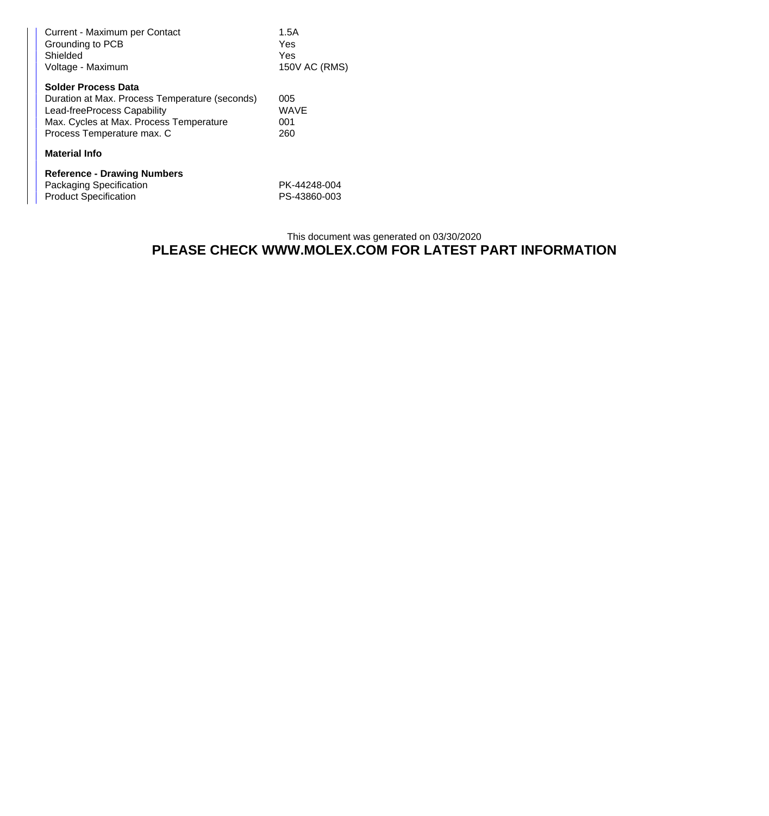| Current - Maximum per Contact<br>Grounding to PCB<br>Shielded<br>Voltage - Maximum                                                                                                   | 1.5A<br>Yes<br>Yes<br>150V AC (RMS) |  |  |
|--------------------------------------------------------------------------------------------------------------------------------------------------------------------------------------|-------------------------------------|--|--|
| <b>Solder Process Data</b><br>Duration at Max. Process Temperature (seconds)<br>Lead-freeProcess Capability<br>Max. Cycles at Max. Process Temperature<br>Process Temperature max. C | 005<br><b>WAVE</b><br>001<br>260    |  |  |
| <b>Material Info</b>                                                                                                                                                                 |                                     |  |  |
| <b>Reference - Drawing Numbers</b><br>Packaging Specification<br><b>Product Specification</b>                                                                                        | PK-44248-004<br>PS-43860-003        |  |  |

## This document was generated on 03/30/2020 **PLEASE CHECK WWW.MOLEX.COM FOR LATEST PART INFORMATION**